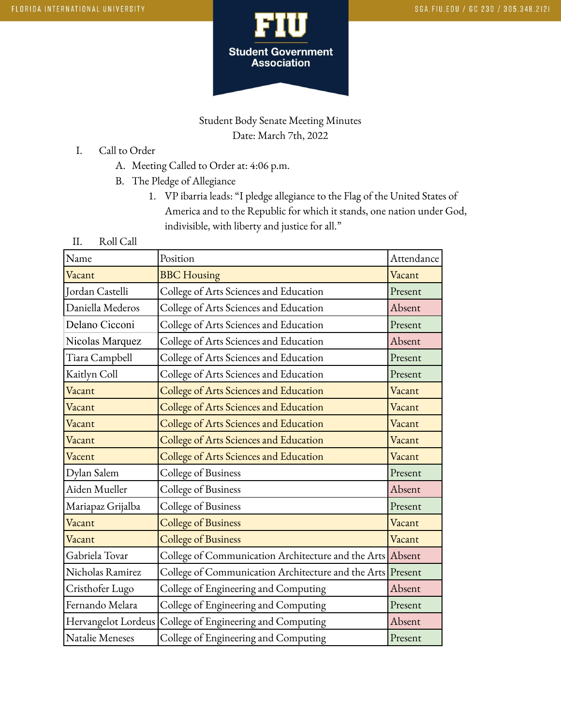

# Student Body Senate Meeting Minutes Date: March 7th, 2022

- I. Call to Order
	- A. Meeting Called to Order at: 4:06 p.m.
	- B. The Pledge of Allegiance
		- 1. VP ibarria leads: "I pledge allegiance to the Flag of the United States of America and to the Republic for which it stands, one nation under God, indivisible, with liberty and justice for all."
- II. Roll Call

| Name                | Position                                                   | Attendance |
|---------------------|------------------------------------------------------------|------------|
|                     |                                                            |            |
| Vacant              | <b>BBC</b> Housing                                         | Vacant     |
| Jordan Castelli     | College of Arts Sciences and Education                     | Present    |
| Daniella Mederos    | College of Arts Sciences and Education                     | Absent     |
| Delano Cicconi      | College of Arts Sciences and Education                     | Present    |
| Nicolas Marquez     | College of Arts Sciences and Education                     | Absent     |
| Tiara Campbell      | College of Arts Sciences and Education                     | Present    |
| Kaitlyn Coll        | College of Arts Sciences and Education                     | Present    |
| Vacant              | College of Arts Sciences and Education                     | Vacant     |
| Vacant              | College of Arts Sciences and Education                     | Vacant     |
| Vacant              | College of Arts Sciences and Education                     | Vacant     |
| Vacant              | College of Arts Sciences and Education                     | Vacant     |
| Vacent              | College of Arts Sciences and Education                     | Vacant     |
| Dylan Salem         | College of Business                                        | Present    |
| Aiden Mueller       | College of Business                                        | Absent     |
| Mariapaz Grijalba   | College of Business                                        | Present    |
| Vacant              | College of Business                                        | Vacant     |
| Vacant              | <b>College of Business</b>                                 | Vacant     |
| Gabriela Tovar      | College of Communication Architecture and the Arts Absent  |            |
| Nicholas Ramirez    | College of Communication Architecture and the Arts Present |            |
| Cristhofer Lugo     | College of Engineering and Computing                       | Absent     |
| Fernando Melara     | College of Engineering and Computing                       | Present    |
| Hervangelot Lordeus | College of Engineering and Computing                       | Absent     |
| Natalie Meneses     | College of Engineering and Computing                       | Present    |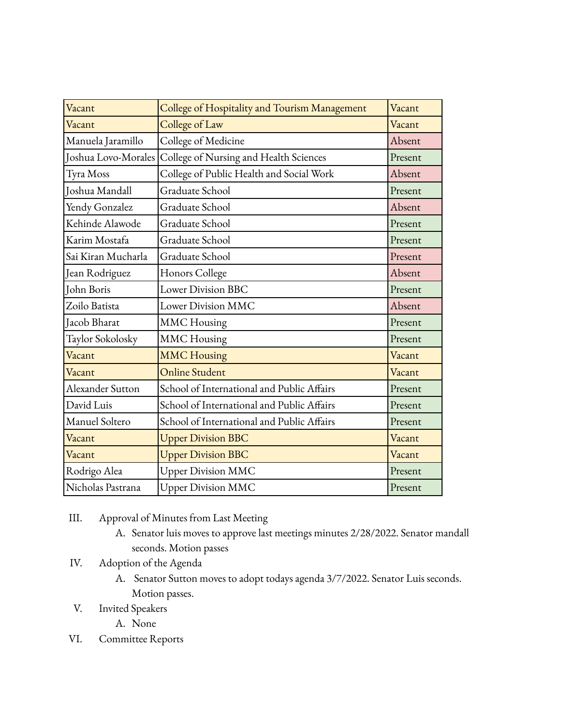| Vacant              | College of Hospitality and Tourism Management | Vacant  |
|---------------------|-----------------------------------------------|---------|
| Vacant              | College of Law                                | Vacant  |
| Manuela Jaramillo   | College of Medicine                           | Absent  |
| Joshua Lovo-Morales | College of Nursing and Health Sciences        | Present |
| Tyra Moss           | College of Public Health and Social Work      | Absent  |
| Joshua Mandall      | Graduate School                               | Present |
| Yendy Gonzalez      | Graduate School                               | Absent  |
| Kehinde Alawode     | Graduate School                               | Present |
| Karim Mostafa       | Graduate School                               | Present |
| Sai Kiran Mucharla  | Graduate School                               | Present |
| Jean Rodriguez      | Honors College                                | Absent  |
| John Boris          | <b>Lower Division BBC</b>                     | Present |
| Zoilo Batista       | Lower Division MMC                            | Absent  |
| Jacob Bharat        | <b>MMC</b> Housing                            | Present |
| Taylor Sokolosky    | <b>MMC</b> Housing                            | Present |
| Vacant              | <b>MMC Housing</b>                            | Vacant  |
| Vacant              | <b>Online Student</b>                         | Vacant  |
| Alexander Sutton    | School of International and Public Affairs    | Present |
| David Luis          | School of International and Public Affairs    | Present |
| Manuel Soltero      | School of International and Public Affairs    | Present |
| Vacant              | <b>Upper Division BBC</b>                     | Vacant  |
| Vacant              | <b>Upper Division BBC</b>                     | Vacant  |
| Rodrigo Alea        | <b>Upper Division MMC</b>                     | Present |
| Nicholas Pastrana   | <b>Upper Division MMC</b>                     | Present |

- III. Approval of Minutes from Last Meeting
	- A. Senator luis moves to approve last meetings minutes 2/28/2022. Senator mandall seconds. Motion passes
- IV. Adoption of the Agenda
	- A. Senator Sutton moves to adopt todays agenda 3/7/2022. Senator Luis seconds. Motion passes.
- V. Invited Speakers
	- A. None
- VI. Committee Reports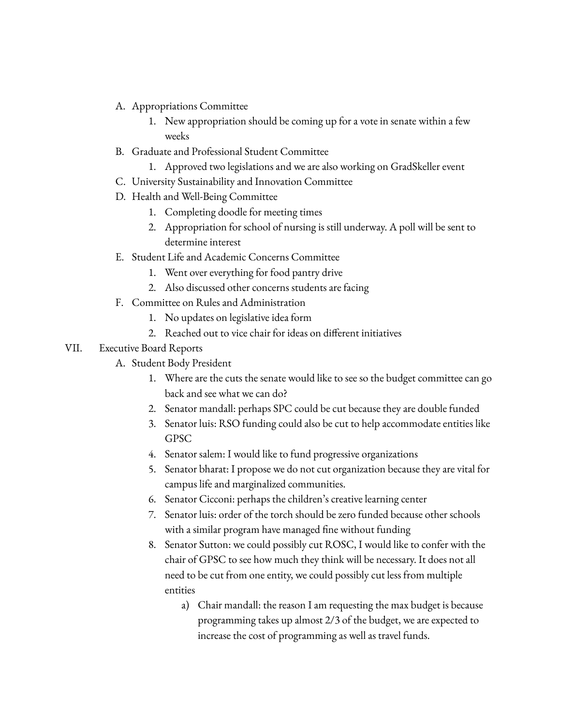- A. Appropriations Committee
	- 1. New appropriation should be coming up for a vote in senate within a few weeks
- B. Graduate and Professional Student Committee
	- 1. Approved two legislations and we are also working on GradSkeller event
- C. University Sustainability and Innovation Committee
- D. Health and Well-Being Committee
	- 1. Completing doodle for meeting times
	- 2. Appropriation for school of nursing is still underway. A poll will be sent to determine interest
- E. Student Life and Academic Concerns Committee
	- 1. Went over everything for food pantry drive
	- 2. Also discussed other concerns students are facing
- F. Committee on Rules and Administration
	- 1. No updates on legislative idea form
	- 2. Reached out to vice chair for ideas on different initiatives

### VII. Executive Board Reports

- A. Student Body President
	- 1. Where are the cuts the senate would like to see so the budget committee can go back and see what we can do?
	- 2. Senator mandall: perhaps SPC could be cut because they are double funded
	- 3. Senator luis: RSO funding could also be cut to help accommodate entities like GPSC
	- 4. Senator salem: I would like to fund progressive organizations
	- 5. Senator bharat: I propose we do not cut organization because they are vital for campus life and marginalized communities.
	- 6. Senator Cicconi: perhaps the children's creative learning center
	- 7. Senator luis: order of the torch should be zero funded because other schools with a similar program have managed fine without funding
	- 8. Senator Sutton: we could possibly cut ROSC, I would like to confer with the chair of GPSC to see how much they think will be necessary. It does not all need to be cut from one entity, we could possibly cut less from multiple entities
		- a) Chair mandall: the reason I am requesting the max budget is because programming takes up almost 2/3 of the budget, we are expected to increase the cost of programming as well as travel funds.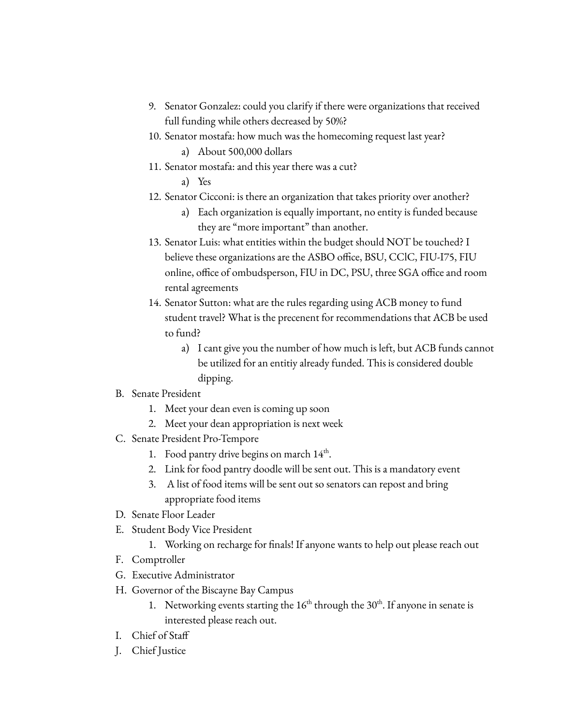- 9. Senator Gonzalez: could you clarify if there were organizations that received full funding while others decreased by 50%?
- 10. Senator mostafa: how much was the homecoming request last year?
	- a) About 500,000 dollars
- 11. Senator mostafa: and this year there was a cut?
	- a) Yes
- 12. Senator Cicconi: is there an organization that takes priority over another?
	- a) Each organization is equally important, no entity is funded because they are "more important" than another.
- 13. Senator Luis: what entities within the budget should NOT be touched? I believe these organizations are the ASBO office, BSU, CClC, FIU-I75, FIU online, office of ombudsperson, FIU in DC, PSU, three SGA office and room rental agreements
- 14. Senator Sutton: what are the rules regarding using ACB money to fund student travel? What is the precenent for recommendations that ACB be used to fund?
	- a) I cant give you the number of how much is left, but ACB funds cannot be utilized for an entitiy already funded. This is considered double dipping.
- B. Senate President
	- 1. Meet your dean even is coming up soon
	- 2. Meet your dean appropriation is next week
- C. Senate President Pro-Tempore
	- 1. Food pantry drive begins on march 14<sup>th</sup>.
	- 2. Link for food pantry doodle will be sent out. This is a mandatory event
	- 3. A list of food items will be sent out so senators can repost and bring appropriate food items
- D. Senate Floor Leader
- E. Student Body Vice President
	- 1. Working on recharge for finals! If anyone wants to help out please reach out
- F. Comptroller
- G. Executive Administrator
- H. Governor of the Biscayne Bay Campus
	- 1. Networking events starting the  $16<sup>th</sup>$  through the  $30<sup>th</sup>$ . If anyone in senate is interested please reach out.
- I. Chief of Staff
- J. Chief Justice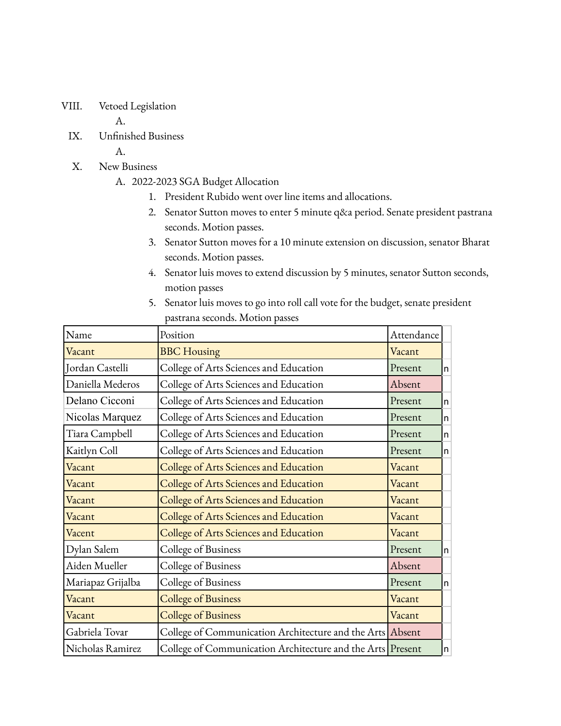VIII. Vetoed Legislation

A.

IX. Unfinished Business

A.

- X. New Business
	- A. 2022-2023 SGA Budget Allocation
		- 1. President Rubido went over line items and allocations.
		- 2. Senator Sutton moves to enter 5 minute q&a period. Senate president pastrana seconds. Motion passes.
		- 3. Senator Sutton moves for a 10 minute extension on discussion, senator Bharat seconds. Motion passes.
		- 4. Senator luis moves to extend discussion by 5 minutes, senator Sutton seconds, motion passes
		- 5. Senator luis moves to go into roll call vote for the budget, senate president pastrana seconds. Motion passes

| Name              | Position                                                   | Attendance |   |
|-------------------|------------------------------------------------------------|------------|---|
| Vacant            | <b>BBC</b> Housing                                         | Vacant     |   |
| Jordan Castelli   | College of Arts Sciences and Education                     | Present    | n |
| Daniella Mederos  | College of Arts Sciences and Education                     | Absent     |   |
| Delano Cicconi    | College of Arts Sciences and Education                     | Present    | n |
| Nicolas Marquez   | College of Arts Sciences and Education                     | Present    | n |
| Tiara Campbell    | College of Arts Sciences and Education                     | Present    | n |
| Kaitlyn Coll      | College of Arts Sciences and Education                     | Present    | n |
| Vacant            | College of Arts Sciences and Education                     | Vacant     |   |
| Vacant            | College of Arts Sciences and Education                     | Vacant     |   |
| Vacant            | College of Arts Sciences and Education                     | Vacant     |   |
| Vacant            | College of Arts Sciences and Education                     | Vacant     |   |
| Vacent            | College of Arts Sciences and Education                     | Vacant     |   |
| Dylan Salem       | College of Business                                        | Present    | n |
| Aiden Mueller     | College of Business                                        | Absent     |   |
| Mariapaz Grijalba | College of Business                                        | Present    | n |
| Vacant            | <b>College of Business</b>                                 | Vacant     |   |
| Vacant            | <b>College of Business</b>                                 | Vacant     |   |
| Gabriela Tovar    | College of Communication Architecture and the Arts Absent  |            |   |
| Nicholas Ramirez  | College of Communication Architecture and the Arts Present |            | n |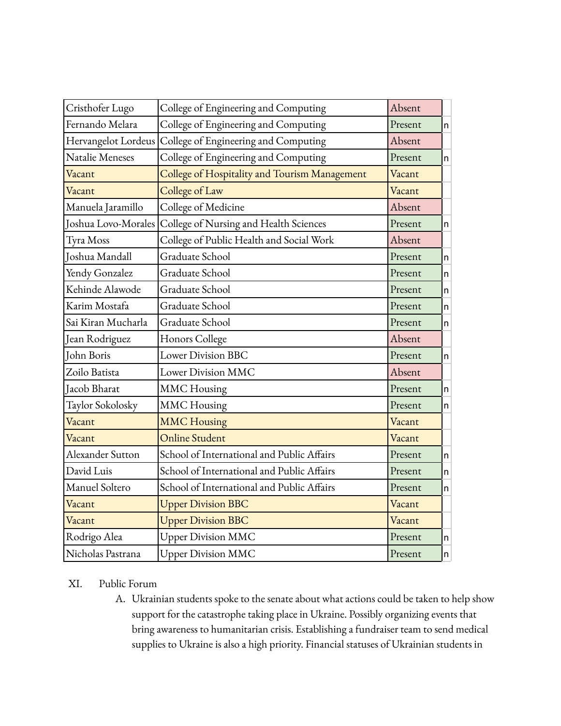| Cristhofer Lugo     | College of Engineering and Computing          | Absent  |    |
|---------------------|-----------------------------------------------|---------|----|
| Fernando Melara     | College of Engineering and Computing          | Present | n  |
| Hervangelot Lordeus | College of Engineering and Computing          | Absent  |    |
| Natalie Meneses     | College of Engineering and Computing          | Present | n  |
| Vacant              | College of Hospitality and Tourism Management | Vacant  |    |
| Vacant              | College of Law                                | Vacant  |    |
| Manuela Jaramillo   | College of Medicine                           | Absent  |    |
| Joshua Lovo-Morales | College of Nursing and Health Sciences        | Present | n  |
| Tyra Moss           | College of Public Health and Social Work      | Absent  |    |
| Joshua Mandall      | Graduate School                               | Present | n  |
| Yendy Gonzalez      | Graduate School                               | Present | n. |
| Kehinde Alawode     | Graduate School                               | Present | n. |
| Karim Mostafa       | Graduate School                               | Present | n  |
| Sai Kiran Mucharla  | Graduate School                               | Present | n  |
| Jean Rodriguez      | Honors College                                | Absent  |    |
| John Boris          | Lower Division BBC                            | Present | n  |
| Zoilo Batista       | Lower Division MMC                            | Absent  |    |
| Jacob Bharat        | <b>MMC</b> Housing                            | Present | n  |
| Taylor Sokolosky    | <b>MMC</b> Housing                            | Present | n  |
| Vacant              | <b>MMC Housing</b>                            | Vacant  |    |
| Vacant              | <b>Online Student</b>                         | Vacant  |    |
| Alexander Sutton    | School of International and Public Affairs    | Present | n  |
| David Luis          | School of International and Public Affairs    | Present | n. |
| Manuel Soltero      | School of International and Public Affairs    | Present | n  |
| Vacant              | <b>Upper Division BBC</b>                     | Vacant  |    |
| Vacant              | <b>Upper Division BBC</b>                     | Vacant  |    |
| Rodrigo Alea        | <b>Upper Division MMC</b>                     | Present | n  |
| Nicholas Pastrana   | <b>Upper Division MMC</b>                     | Present | n  |

## XI. Public Forum

A. Ukrainian students spoke to the senate about what actions could be taken to help show support for the catastrophe taking place in Ukraine. Possibly organizing events that bring awareness to humanitarian crisis. Establishing a fundraiser team to send medical supplies to Ukraine is also a high priority. Financial statuses of Ukrainian students in